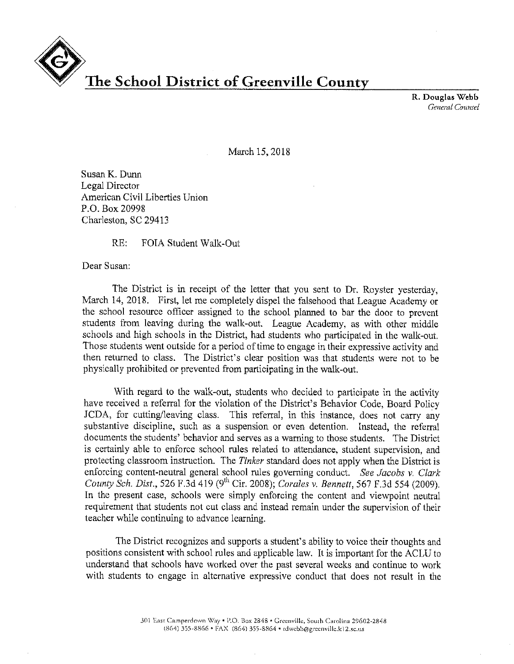

R. Douglas Webb *General Counsel* 

March 15, 2018

Susan K. Dunn Legal Director American Civil Liberties Union P.O. Box 20998 Charleston, SC 29413

RE: FOIA Student Walk-Out

Dear Susan:

The District is in receipt of the letter that you sent to Dr. Royster yesterday, March 14, 2018. First, let me completely dispel the falsehood that League Academy or the school resource officer assigned to the school planned to bar the door to prevent students from leaving during the walk-out. League Academy, as with other middle schools and high schools in the District, had students who participated in the walk-out. Those students went outside for a period of time to engage in their expressive activity and then returned to class. The District's clear position was that students were not to be physically prohibited or prevented from participating in the walk-out.

With regard to the walk-out, students who decided to participate in the activity have received a referral for the violation of the District's Behavior Code, Board Policy JCDA, for cutting/leaving class. This referral, in this instance, does not carry any substantive discipline, such as a suspension or even detention. Instead, the referral documents the students' behavior and serves as a warning to those students. The District is certainly able to enforce school rules related to attendance, student supervision, and protecting classroom instruction. The *Tinker* standard does not apply when the District is enforcing content-neutral general school rules governing conduct. *See Jacobs v. Clark County Sch. Dist.,* 526 F.3d 419 (9<sup>th</sup> Cir. 2008); *Corales v. Bennett,* 567 F.3d 554 (2009). In the present case, schools were simply enforcing the content and viewpoint neutral requirement that students not cut class and instead remain under the supervision of their teacher while continuing to advance learning.

The District recognizes and supports a student's ability to voice their thoughts and positions consistent with school rules and applicable law. It is important for the ACLU to understand that schools have worked over the past several weeks and continue to work with students to engage in alternative expressive conduct that does not result in the